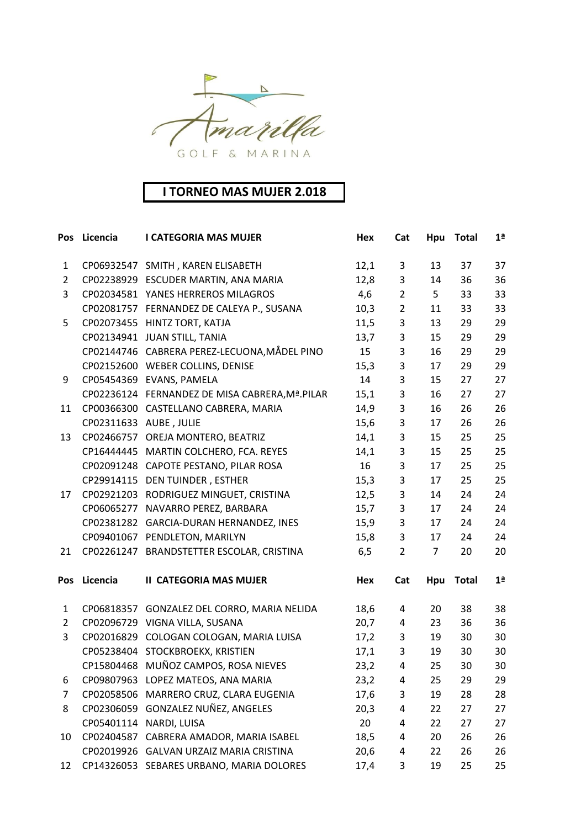

## **I TORNEO MAS MUJER 2.018**

| Pos            | Licencia   | <b>I CATEGORIA MAS MUJER</b>                    | Hex  | Cat                       | Hpu            | <b>Total</b> | 1 <sup>a</sup> |
|----------------|------------|-------------------------------------------------|------|---------------------------|----------------|--------------|----------------|
| $\mathbf{1}$   |            | CP06932547 SMITH, KAREN ELISABETH               | 12,1 | 3                         | 13             | 37           | 37             |
| $\overline{2}$ |            | CP02238929 ESCUDER MARTIN, ANA MARIA            | 12,8 | 3                         | 14             | 36           | 36             |
| 3              |            | CP02034581 YANES HERREROS MILAGROS              | 4,6  | $\overline{2}$            | 5              | 33           | 33             |
|                |            | CP02081757 FERNANDEZ DE CALEYA P., SUSANA       | 10,3 | $\overline{2}$            | 11             | 33           | 33             |
| 5              | CP02073455 | HINTZ TORT, KATJA                               | 11,5 | 3                         | 13             | 29           | 29             |
|                |            | CP02134941 JUAN STILL, TANIA                    | 13,7 | $\mathsf{3}$              | 15             | 29           | 29             |
|                |            | CP02144746 CABRERA PEREZ-LECUONA, MÅDEL PINO    | 15   | 3                         | 16             | 29           | 29             |
|                |            | CP02152600 WEBER COLLINS, DENISE                | 15,3 | 3                         | 17             | 29           | 29             |
| 9              |            | CP05454369 EVANS, PAMELA                        | 14   | 3                         | 15             | 27           | 27             |
|                |            | CP02236124 FERNANDEZ DE MISA CABRERA, Mª. PILAR | 15,1 | 3                         | 16             | 27           | 27             |
| 11             |            | CP00366300 CASTELLANO CABRERA, MARIA            | 14,9 | 3                         | 16             | 26           | 26             |
|                | CP02311633 | AUBE, JULIE                                     | 15,6 | 3                         | 17             | 26           | 26             |
| 13             |            | CP02466757 OREJA MONTERO, BEATRIZ               | 14,1 | $\ensuremath{\mathsf{3}}$ | 15             | 25           | 25             |
|                |            | CP16444445 MARTIN COLCHERO, FCA. REYES          | 14,1 | $\overline{3}$            | 15             | 25           | 25             |
|                |            | CP02091248 CAPOTE PESTANO, PILAR ROSA           | 16   | 3                         | 17             | 25           | 25             |
|                |            | CP29914115 DEN TUINDER, ESTHER                  | 15,3 | $\mathsf{3}$              | 17             | 25           | 25             |
| 17             | CP02921203 | RODRIGUEZ MINGUET, CRISTINA                     | 12,5 | 3                         | 14             | 24           | 24             |
|                |            | CP06065277 NAVARRO PEREZ, BARBARA               | 15,7 | $\mathsf{3}$              | 17             | 24           | 24             |
|                | CP02381282 | GARCIA-DURAN HERNANDEZ, INES                    | 15,9 | 3                         | 17             | 24           | 24             |
|                |            | CP09401067 PENDLETON, MARILYN                   | 15,8 | 3                         | 17             | 24           | 24             |
| 21             |            | CP02261247 BRANDSTETTER ESCOLAR, CRISTINA       | 6,5  | $\overline{2}$            | $\overline{7}$ | 20           | 20             |
| Pos            | Licencia   | <b>II CATEGORIA MAS MUJER</b>                   | Hex  | Cat                       | Hpu            | <b>Total</b> | 1 <sup>a</sup> |
| $\mathbf{1}$   |            | CP06818357 GONZALEZ DEL CORRO, MARIA NELIDA     | 18,6 | 4                         | 20             | 38           | 38             |
| $\overline{2}$ | CP02096729 | VIGNA VILLA, SUSANA                             | 20,7 | 4                         | 23             | 36           | 36             |
| 3              |            | CP02016829 COLOGAN COLOGAN, MARIA LUISA         | 17,2 | 3                         | 19             | 30           | 30             |
|                |            | CP05238404 STOCKBROEKX, KRISTIEN                | 17,1 | 3                         | 19             | 30           | 30             |
|                |            | CP15804468 MUÑOZ CAMPOS, ROSA NIEVES            | 23,2 | 4                         | 25             | 30           | 30             |
| 6              |            | CP09807963 LOPEZ MATEOS, ANA MARIA              | 23,2 | 4                         | 25             | 29           | 29             |
| 7              | CP02058506 | MARRERO CRUZ, CLARA EUGENIA                     | 17,6 | 3                         | 19             | 28           | 28             |
| 8              | CP02306059 | GONZALEZ NUÑEZ, ANGELES                         | 20,3 | 4                         | 22             | 27           | 27             |
|                | CP05401114 | NARDI, LUISA                                    | 20   | 4                         | 22             | 27           | 27             |
| 10             | CP02404587 | CABRERA AMADOR, MARIA ISABEL                    | 18,5 | 4                         | 20             | 26           | 26             |
|                |            | CP02019926 GALVAN URZAIZ MARIA CRISTINA         | 20,6 | 4                         | 22             | 26           | 26             |
| 12             | CP14326053 | SEBARES URBANO, MARIA DOLORES                   | 17,4 | 3                         | 19             | 25           | 25             |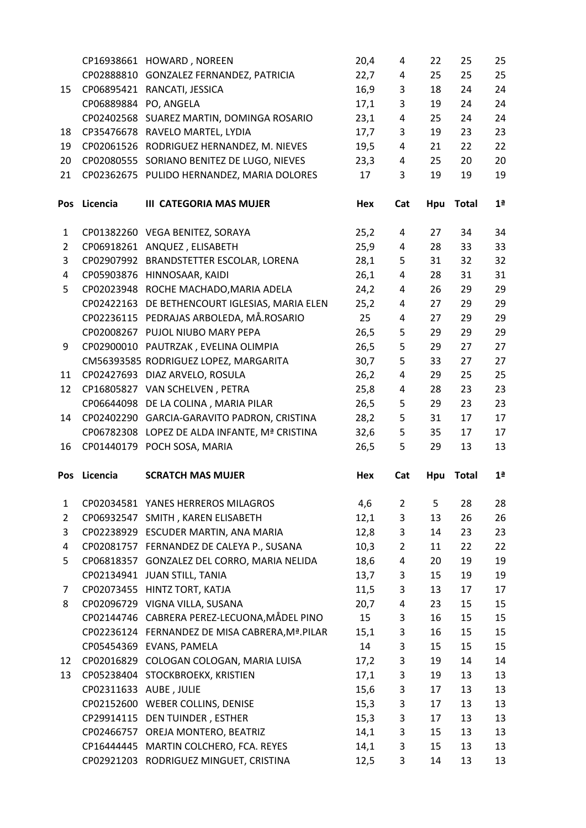|                |                        | CP16938661 HOWARD, NOREEN                       | 20,4       | 4              | 22       | 25           | 25             |
|----------------|------------------------|-------------------------------------------------|------------|----------------|----------|--------------|----------------|
|                |                        | CP02888810 GONZALEZ FERNANDEZ, PATRICIA         | 22,7       | 4              | 25       | 25           | 25             |
| 15             |                        | CP06895421 RANCATI, JESSICA                     | 16,9       | 3              | 18       | 24           | 24             |
|                | CP06889884 PO, ANGELA  |                                                 | 17,1       | 3              | 19       | 24           | 24             |
|                |                        | CP02402568 SUAREZ MARTIN, DOMINGA ROSARIO       | 23,1       | 4              | 25       | 24           | 24             |
| 18             |                        | CP35476678 RAVELO MARTEL, LYDIA                 | 17,7       | 3              | 19       | 23           | 23             |
| 19             |                        | CP02061526 RODRIGUEZ HERNANDEZ, M. NIEVES       | 19,5       | 4              | 21       | 22           | 22             |
| 20             | CP02080555             | SORIANO BENITEZ DE LUGO, NIEVES                 | 23,3       | 4              | 25       | 20           | 20             |
| 21             |                        | CP02362675 PULIDO HERNANDEZ, MARIA DOLORES      | 17         | 3              | 19       | 19           | 19             |
| Pos            | Licencia               | <b>III CATEGORIA MAS MUJER</b>                  | Hex        | Cat            | Hpu      | <b>Total</b> | 1 <sup>a</sup> |
| 1              |                        | CP01382260 VEGA BENITEZ, SORAYA                 | 25,2       | 4              | 27       | 34           | 34             |
| $\overline{2}$ |                        | CP06918261 ANQUEZ, ELISABETH                    | 25,9       | 4              | 28       | 33           | 33             |
| 3              | CP02907992             | BRANDSTETTER ESCOLAR, LORENA                    | 28,1       | 5              | 31       | 32           | 32             |
| 4              |                        | CP05903876 HINNOSAAR, KAIDI                     | 26,1       | 4              | 28       | 31           | 31             |
| 5              |                        | CP02023948 ROCHE MACHADO, MARIA ADELA           | 24,2       | 4              | 26       | 29           | 29             |
|                | CP02422163             | DE BETHENCOURT IGLESIAS, MARIA ELEN             | 25,2       | 4              | 27       | 29           | 29             |
|                |                        | CP02236115 PEDRAJAS ARBOLEDA, MÅ.ROSARIO        | 25         | 4              | 27       | 29           | 29             |
|                | CP02008267             | PUJOL NIUBO MARY PEPA                           | 26,5       | 5              | 29       | 29           | 29             |
| 9              |                        | CP02900010 PAUTRZAK, EVELINA OLIMPIA            | 26,5       | 5              | 29       | 27           | 27             |
|                |                        | CM56393585 RODRIGUEZ LOPEZ, MARGARITA           | 30,7       | 5              | 33       | 27           | 27             |
| 11             | CP02427693             | DIAZ ARVELO, ROSULA                             | 26,2       | 4              | 29       | 25           | 25             |
| 12             |                        | CP16805827 VAN SCHELVEN, PETRA                  | 25,8       | $\overline{a}$ | 28       | 23           | 23             |
|                |                        | CP06644098 DE LA COLINA, MARIA PILAR            | 26,5       | 5              | 29       | 23           | 23             |
| 14             |                        | CP02402290 GARCIA-GARAVITO PADRON, CRISTINA     | 28,2       | 5              | 31       | 17           | 17             |
|                |                        | CP06782308 LOPEZ DE ALDA INFANTE, Mª CRISTINA   | 32,6       | 5              | 35       | 17           | 17             |
| 16             |                        | CP01440179 POCH SOSA, MARIA                     | 26,5       | 5              | 29       | 13           | 13             |
| Pos            | Licencia               | <b>SCRATCH MAS MUJER</b>                        | <b>Hex</b> | Cat            | Hpu      | <b>Total</b> | 1 <sup>a</sup> |
| $\mathbf{1}$   |                        | CP02034581 YANES HERREROS MILAGROS              | 4,6        | $\overline{2}$ | 5        | 28           | 28             |
| $\overline{2}$ |                        | CP06932547 SMITH, KAREN ELISABETH               | 12,1       | 3              | 13       | 26           | 26             |
| 3              | CP02238929             | ESCUDER MARTIN, ANA MARIA                       | 12,8       | 3              | 14       | 23           | 23             |
| 4              |                        | CP02081757 FERNANDEZ DE CALEYA P., SUSANA       | 10,3       | $\overline{2}$ | 11       | 22           | 22             |
| 5              | CP06818357             | GONZALEZ DEL CORRO, MARIA NELIDA                | 18,6       | 4              | 20       | 19           | 19             |
|                | CP02134941             | JUAN STILL, TANIA                               | 13,7       | 3              | 15       | 19           | 19             |
| 7              |                        | CP02073455 HINTZ TORT, KATJA                    | 11,5       | 3              | 13       | 17           | 17             |
| 8              | CP02096729             | VIGNA VILLA, SUSANA                             | 20,7       | 4              | 23       | 15           | 15             |
|                |                        | CP02144746 CABRERA PEREZ-LECUONA, MÅDEL PINO    | 15         | 3              | 16       | 15           | 15             |
|                |                        | CP02236124 FERNANDEZ DE MISA CABRERA, Mª. PILAR | 15,1       | 3              | 16       | 15           | 15             |
|                |                        | CP05454369 EVANS, PAMELA                        | 14         | 3              | 15       | 15           | 15             |
| 12             | CP02016829             | COLOGAN COLOGAN, MARIA LUISA                    | 17,2       | 3              | 19       | 14           | 14             |
| 13             | CP05238404             | STOCKBROEKX, KRISTIEN                           | 17,1       | 3              | 19       | 13           | 13             |
|                | CP02311633 AUBE, JULIE |                                                 | 15,6       | 3              | 17       | 13           | 13             |
|                |                        | CP02152600 WEBER COLLINS, DENISE                | 15,3       | 3              | 17       | 13           | 13             |
|                |                        | CP29914115 DEN TUINDER, ESTHER                  | 15,3       | 3              | 17       | 13           | 13             |
|                | CP02466757             | OREJA MONTERO, BEATRIZ                          | 14,1       | 3              | 15       | 13           | 13             |
|                | CP16444445             | MARTIN COLCHERO, FCA. REYES                     | 14,1       |                |          |              |                |
|                |                        |                                                 |            |                |          |              |                |
|                |                        | CP02921203 RODRIGUEZ MINGUET, CRISTINA          | 12,5       | 3<br>3         | 15<br>14 | 13<br>13     | 13<br>13       |